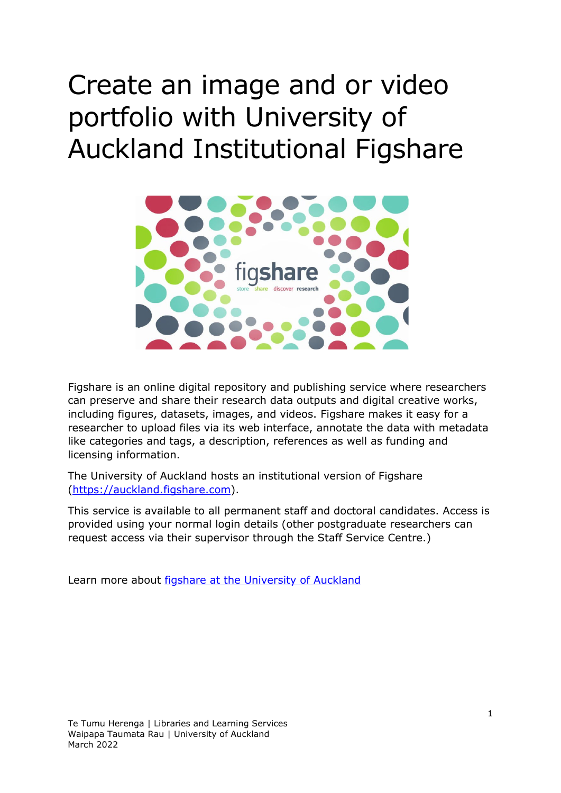# Create an image and or video portfolio with University of Auckland Institutional Figshare



Figshare is an online digital repository and publishing service where researchers can preserve and share their research data outputs and digital creative works, including figures, datasets, images, and videos. Figshare makes it easy for a researcher to upload files via its web interface, annotate the data with metadata like categories and tags, a description, references as well as funding and licensing information.

The University of Auckland hosts an institutional version of Figshare [\(https://auckland.figshare.com\)](https://auckland.figshare.com/?from-ref=hub).

This service is available to all permanent staff and doctoral candidates. Access is provided using your normal login details (other postgraduate researchers can request access via their supervisor through the Staff Service Centre.)

Learn more about **figshare at the University of Auckland**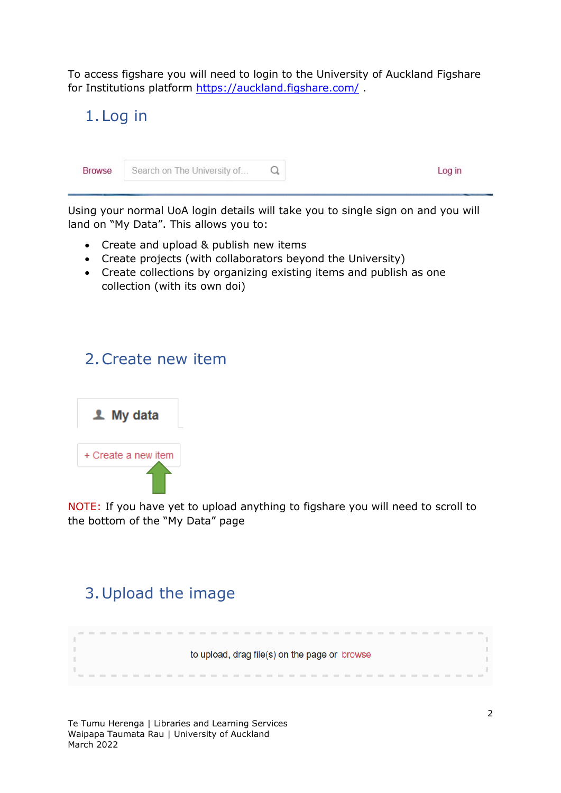To access figshare you will need to login to the University of Auckland Figshare for Institutions platform https://auckland.figshare.com/.



Using your normal UoA login details will take you to single sign on and you will land on "My Data". This allows you to:

- Create and upload & publish new items
- Create projects (with collaborators beyond the University)
- Create collections by organizing existing items and publish as one collection (with its own doi)

## 2.Create new item



NOTE: If you have yet to upload anything to figshare you will need to scroll to the bottom of the "My Data" page

# 3.Upload the image

to upload, drag file(s) on the page or browse

Te Tumu Herenga | Libraries and Learning Services Waipapa Taumata Rau | University of Auckland March 2022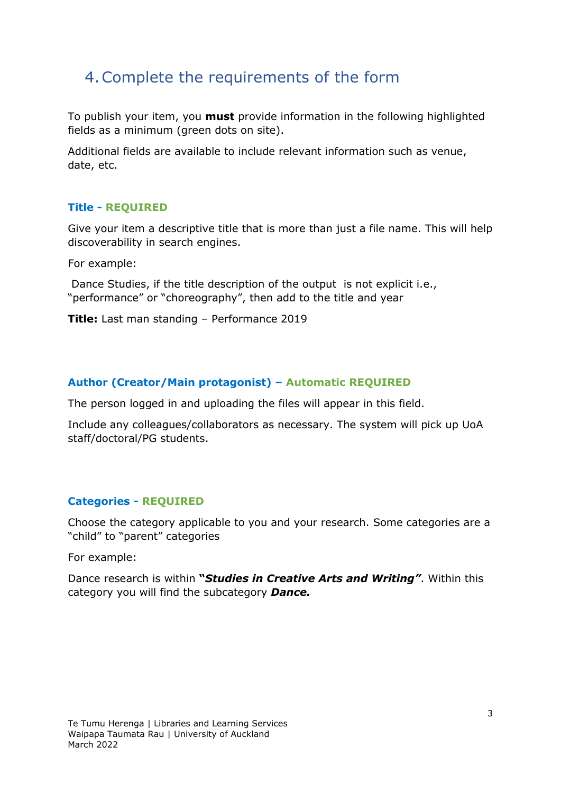## 4.Complete the requirements of the form

To publish your item, you **must** provide information in the following highlighted fields as a minimum (green dots on site).

Additional fields are available to include relevant information such as venue, date, etc.

#### **Title - REQUIRED**

Give your item a descriptive title that is more than just a file name. This will help discoverability in search engines.

For example:

Dance Studies, if the title description of the output is not explicit i.e., "performance" or "choreography", then add to the title and year

**Title:** Last man standing – Performance 2019

#### **Author (Creator/Main protagonist) – Automatic REQUIRED**

The person logged in and uploading the files will appear in this field.

Include any colleagues/collaborators as necessary. The system will pick up UoA staff/doctoral/PG students.

#### **Categories - REQUIRED**

Choose the category applicable to you and your research. Some categories are a "child" to "parent" categories

For example:

Dance research is within **"***Studies in Creative Arts and Writing"*. Within this category you will find the subcategory *Dance.*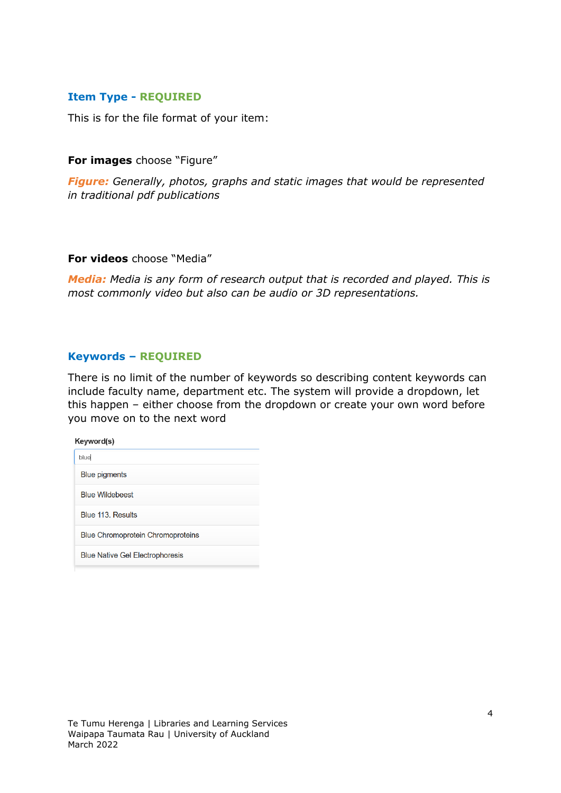#### **Item Type - REQUIRED**

This is for the file format of your item:

**For images** choose "Figure"

*Figure: Generally, photos, graphs and static images that would be represented in traditional pdf publications*

#### **For videos** choose "Media"

*Media: Media is any form of research output that is recorded and played. This is most commonly video but also can be audio or 3D representations.*

#### **Keywords – REQUIRED**

There is no limit of the number of keywords so describing content keywords can include faculty name, department etc. The system will provide a dropdown, let this happen – either choose from the dropdown or create your own word before you move on to the next word

| Keyword(s)                               |  |
|------------------------------------------|--|
| blue                                     |  |
| <b>Blue pigments</b>                     |  |
| <b>Blue Wildebeest</b>                   |  |
| Blue 113. Results                        |  |
| <b>Blue Chromoprotein Chromoproteins</b> |  |
| <b>Blue Native Gel Electrophoresis</b>   |  |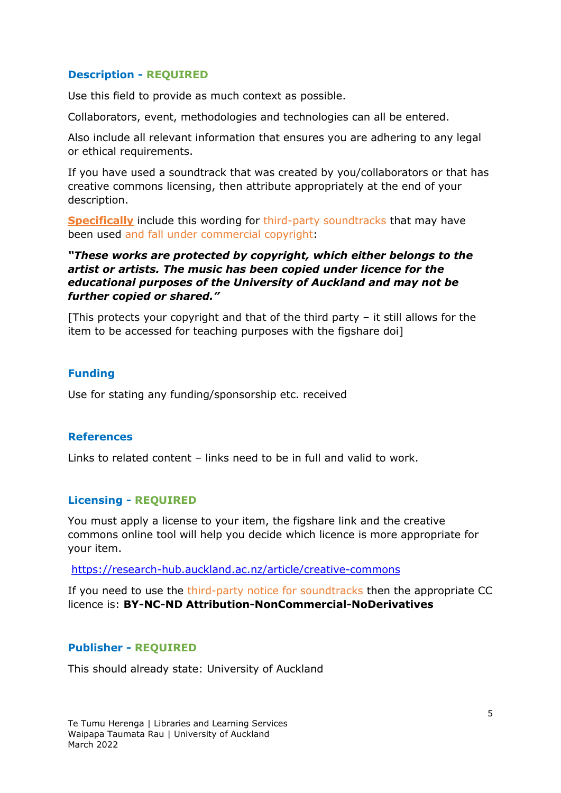#### **Description - REQUIRED**

Use this field to provide as much context as possible.

Collaborators, event, methodologies and technologies can all be entered.

Also include all relevant information that ensures you are adhering to any legal or ethical requirements.

If you have used a soundtrack that was created by you/collaborators or that has creative commons licensing, then attribute appropriately at the end of your description.

**Specifically** include this wording for third-party soundtracks that may have been used and fall under commercial copyright:

#### *"These works are protected by copyright, which either belongs to the artist or artists. The music has been copied under licence for the educational purposes of the University of Auckland and may not be further copied or shared."*

[This protects your copyright and that of the third party – it still allows for the item to be accessed for teaching purposes with the figshare doi]

#### **Funding**

Use for stating any funding/sponsorship etc. received

#### **References**

Links to related content – links need to be in full and valid to work.

#### **Licensing - REQUIRED**

You must apply a license to your item, the figshare link and the creative commons online tool will help you decide which licence is more appropriate for your item.

<https://research-hub.auckland.ac.nz/article/creative-commons>

If you need to use the third-party notice for soundtracks then the appropriate CC licence is: **BY-NC-ND Attribution-NonCommercial-NoDerivatives**

#### **Publisher - REQUIRED**

This should already state: University of Auckland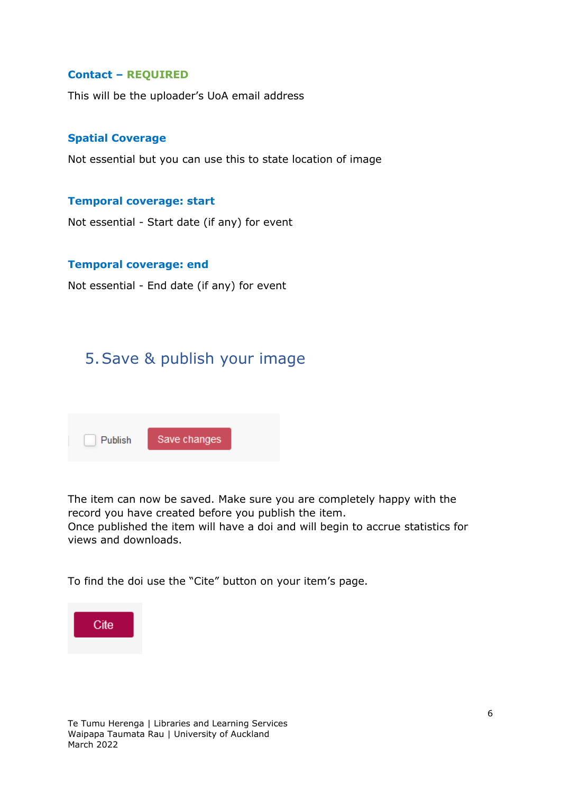#### **Contact – REQUIRED**

This will be the uploader's UoA email address

#### **Spatial Coverage**

Not essential but you can use this to state location of image

#### **Temporal coverage: start**

Not essential - Start date (if any) for event

#### **Temporal coverage: end**

Not essential - End date (if any) for event

## 5.Save & publish your image

| Publish | Save changes |
|---------|--------------|

The item can now be saved. Make sure you are completely happy with the record you have created before you publish the item. Once published the item will have a doi and will begin to accrue statistics for

To find the doi use the "Cite" button on your item's page.



views and downloads.